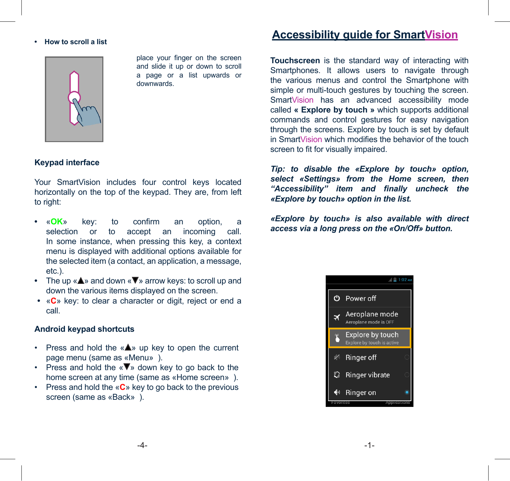### **• How to scroll a list**



place your finger on the screen and slide it up or down to scroll a page or a list upwards or downwards.

# **Keypad interface**

Your SmartVision includes four control keys located horizontally on the top of the keypad. They are, from left to right:

- **•** «**OK**» key: to confirm an option, a selection or to accept an incoming call. In some instance, when pressing this key, a context menu is displayed with additional options available for the selected item (a contact, an application, a message, etc.).
- The up « $\blacktriangle$ » and down « $\nabla$ » arrow keys: to scroll up and down the various items displayed on the screen.
- «**C**» key: to clear a character or digit, reject or end a call.

# **Android keypad shortcuts**

- Press and hold the « $\triangle$ » up key to open the current page menu (same as «Menu» ).
- Press and hold the  $\langle \nabla \Psi \rangle$  down key to go back to the home screen at any time (same as «Home screen» ).
- Press and hold the «**C**» key to go back to the previous screen (same as «Back» ).

# **Accessibility guide for SmartVision**

**Touchscreen** is the standard way of interacting with Smartphones. It allows users to navigate through the various menus and control the Smartphone with simple or multi-touch gestures by touching the screen. SmartVision has an advanced accessibility mode called **« Explore by touch »** which supports additional commands and control gestures for easy navigation through the screens. Explore by touch is set by default in SmartVision which modifies the behavior of the touch screen to fit for visually impaired.

*Tip: to disable the «Explore by touch» option, select «Settings» from the Home screen, then "Accessibility" item and finally uncheck the «Explore by touch» option in the list.*

*«Explore by touch» is also available with direct access via a long press on the «On/Off» button.*